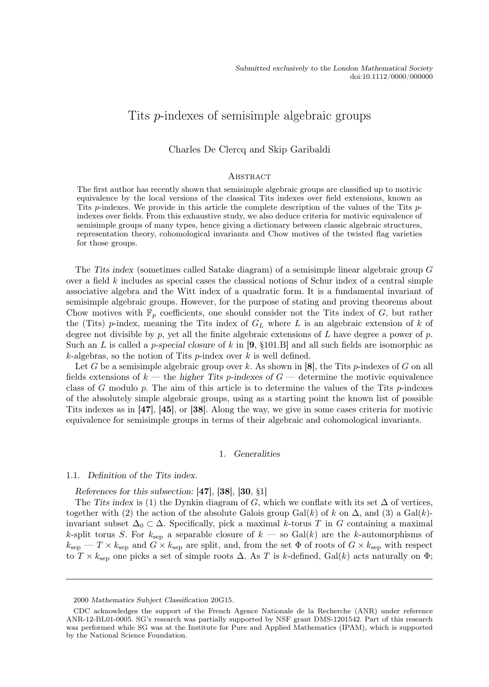# Tits p-indexes of semisimple algebraic groups

# Charles De Clercq and Skip Garibaldi

#### **ABSTRACT**

The first author has recently shown that semisimple algebraic groups are classified up to motivic equivalence by the local versions of the classical Tits indexes over field extensions, known as Tits p-indexes. We provide in this article the complete description of the values of the Tits pindexes over fields. From this exhaustive study, we also deduce criteria for motivic equivalence of semisimple groups of many types, hence giving a dictionary between classic algebraic structures, representation theory, cohomological invariants and Chow motives of the twisted flag varieties for those groups.

The Tits index (sometimes called Satake diagram) of a semisimple linear algebraic group G over a field  $k$  includes as special cases the classical notions of Schur index of a central simple associative algebra and the Witt index of a quadratic form. It is a fundamental invariant of semisimple algebraic groups. However, for the purpose of stating and proving theorems about Chow motives with  $\mathbb{F}_p$  coefficients, one should consider not the Tits index of G, but rather the (Tits) p-index, meaning the Tits index of  $G_L$  where L is an algebraic extension of k of degree not divisible by p, yet all the finite algebraic extensions of  $L$  have degree a power of  $p$ . Such an L is called a *p-special closure* of k in  $[9, §101.B]$  and all such fields are isomorphic as  $k$ -algebras, so the notion of Tits *p*-index over k is well defined.

Let G be a semisimple algebraic group over k. As shown in  $[8]$ , the Tits p-indexes of G on all fields extensions of  $k$  — the higher Tits p-indexes of  $G$  — determine the motivic equivalence class of G modulo p. The aim of this article is to determine the values of the Tits p-indexes of the absolutely simple algebraic groups, using as a starting point the known list of possible Tits indexes as in [47], [45], or [38]. Along the way, we give in some cases criteria for motivic equivalence for semisimple groups in terms of their algebraic and cohomological invariants.

#### 1. Generalities

#### 1.1. Definition of the Tits index.

References for this subsection: [47], [38], [30, §1]

The Tits index is (1) the Dynkin diagram of G, which we conflate with its set  $\Delta$  of vertices, together with (2) the action of the absolute Galois group Gal(k) of k on  $\Delta$ , and (3) a Gal(k)invariant subset  $\Delta_0 \subset \Delta$ . Specifically, pick a maximal k-torus T in G containing a maximal k-split torus S. For  $k_{\text{sep}}$  a separable closure of  $k$  — so Gal(k) are the k-automorphisms of  $k_{\rm sep}$  –  $T \times k_{\rm sep}$  and  $G \times k_{\rm sep}$  are split, and, from the set  $\Phi$  of roots of  $G \times k_{\rm sep}$  with respect to  $T \times k_{\rm sep}$  one picks a set of simple roots  $\Delta$ . As T is k-defined, Gal(k) acts naturally on  $\Phi$ ;

<sup>2000</sup> Mathematics Subject Classification 20G15.

CDC acknowledges the support of the French Agence Nationale de la Recherche (ANR) under reference ANR-12-BL01-0005. SG's research was partially supported by NSF grant DMS-1201542. Part of this research was performed while SG was at the Institute for Pure and Applied Mathematics (IPAM), which is supported by the National Science Foundation.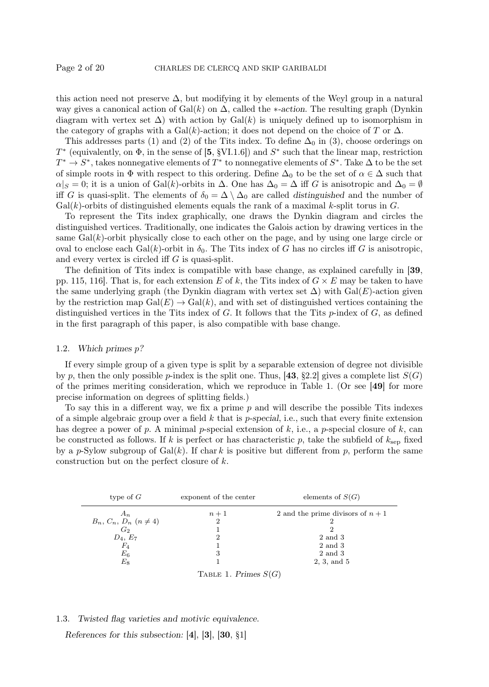this action need not preserve  $\Delta$ , but modifying it by elements of the Weyl group in a natural way gives a canonical action of Gal(k) on  $\Delta$ , called the \*-action. The resulting graph (Dynkin diagram with vertex set  $\Delta$ ) with action by Gal(k) is uniquely defined up to isomorphism in the category of graphs with a Gal(k)-action; it does not depend on the choice of T or  $\Delta$ .

This addresses parts (1) and (2) of the Tits index. To define  $\Delta_0$  in (3), choose orderings on  $T^*$  (equivalently, on  $\Phi$ , in the sense of [5, §VI.1.6]) and  $S^*$  such that the linear map, restriction  $T^* \to S^*$ , takes nonnegative elements of  $T^*$  to nonnegative elements of  $S^*$ . Take  $\Delta$  to be the set of simple roots in  $\Phi$  with respect to this ordering. Define  $\Delta_0$  to be the set of  $\alpha \in \Delta$  such that  $\alpha|S = 0$ ; it is a union of Gal(k)-orbits in  $\Delta$ . One has  $\Delta_0 = \Delta$  iff G is anisotropic and  $\Delta_0 = \emptyset$ iff G is quasi-split. The elements of  $\delta_0 = \Delta \setminus \Delta_0$  are called distinguished and the number of  $Gal(k)$ -orbits of distinguished elements equals the rank of a maximal k-split torus in  $G$ .

To represent the Tits index graphically, one draws the Dynkin diagram and circles the distinguished vertices. Traditionally, one indicates the Galois action by drawing vertices in the same  $Gal(k)$ -orbit physically close to each other on the page, and by using one large circle or oval to enclose each Gal $(k)$ -orbit in  $\delta_0$ . The Tits index of G has no circles iff G is anisotropic, and every vertex is circled iff G is quasi-split.

The definition of Tits index is compatible with base change, as explained carefully in [39, pp. 115, 116. That is, for each extension E of k, the Tits index of  $G \times E$  may be taken to have the same underlying graph (the Dynkin diagram with vertex set  $\Delta$ ) with Gal(E)-action given by the restriction map  $Gal(E) \to Gal(k)$ , and with set of distinguished vertices containing the distinguished vertices in the Tits index of  $G$ . It follows that the Tits  $p$ -index of  $G$ , as defined in the first paragraph of this paper, is also compatible with base change.

#### 1.2. Which primes p?

If every simple group of a given type is split by a separable extension of degree not divisible by p, then the only possible p-index is the split one. Thus, [43, §2.2] gives a complete list  $S(G)$ of the primes meriting consideration, which we reproduce in Table 1. (Or see [49] for more precise information on degrees of splitting fields.)

To say this in a different way, we fix a prime  $p$  and will describe the possible Tits indexes of a simple algebraic group over a field  $k$  that is p-special, i.e., such that every finite extension has degree a power of p. A minimal p-special extension of k, i.e., a p-special closure of k, can be constructed as follows. If k is perfect or has characteristic p, take the subfield of  $k_{\rm sep}$  fixed by a p-Sylow subgroup of  $Gal(k)$ . If chark is positive but different from p, perform the same construction but on the perfect closure of k.



#### 1.3. Twisted flag varieties and motivic equivalence.

References for this subsection: [4], [3], [30, §1]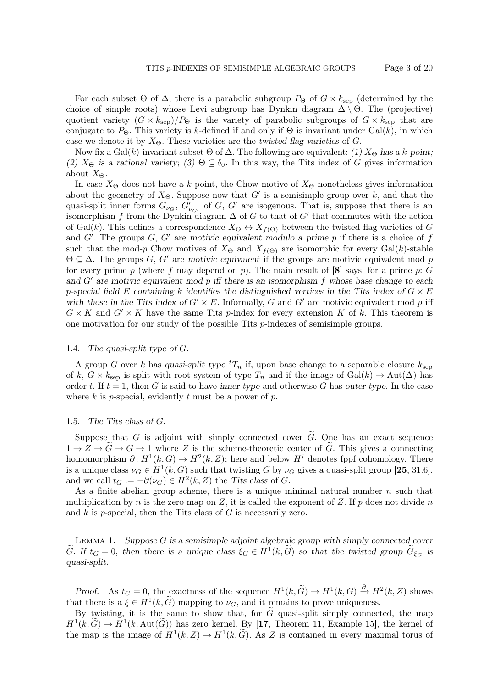For each subset  $\Theta$  of  $\Delta$ , there is a parabolic subgroup  $P_{\Theta}$  of  $G \times k_{\text{sep}}$  (determined by the choice of simple roots) whose Levi subgroup has Dynkin diagram  $\Delta \setminus \Theta$ . The (projective) quotient variety  $(G \times k_{\text{sep}})/P_{\Theta}$  is the variety of parabolic subgroups of  $G \times k_{\text{sep}}$  that are conjugate to  $P_{\Theta}$ . This variety is k-defined if and only if  $\Theta$  is invariant under Gal(k), in which case we denote it by  $X_{\Theta}$ . These varieties are the twisted flag varieties of G.

Now fix a Gal(k)-invariant subset  $\Theta$  of  $\Delta$ . The following are equivalent: (1)  $X_{\Theta}$  has a k-point; (2)  $X_{\Theta}$  is a rational variety; (3)  $\Theta \subseteq \delta_0$ . In this way, the Tits index of G gives information about  $X_{\Theta}$ .

In case  $X_{\Theta}$  does not have a k-point, the Chow motive of  $X_{\Theta}$  nonetheless gives information about the geometry of  $X_{\Theta}$ . Suppose now that G' is a semisimple group over k, and that the quasi-split inner forms  $G_{\nu_G}$ ,  $G'_{\nu_{G'}}$  of G, G' are isogenous. That is, suppose that there is an isomorphism f from the Dynkin diagram  $\Delta$  of G to that of G' that commutes with the action of Gal(k). This defines a correspondence  $X_{\Theta} \leftrightarrow X_{f(\Theta)}$  between the twisted flag varieties of G and  $G'$ . The groups  $G, G'$  are motivic equivalent modulo a prime p if there is a choice of f such that the mod-p Chow motives of  $X_{\Theta}$  and  $X_{f(\Theta)}$  are isomorphic for every Gal(k)-stable  $\Theta \subseteq \Delta$ . The groups G, G' are motivic equivalent if the groups are motivic equivalent mod p for every prime p (where f may depend on p). The main result of  $[8]$  says, for a prime p: G and  $G'$  are motivic equivalent mod p iff there is an isomorphism f whose base change to each p-special field E containing k identifies the distinguished vertices in the Tits index of  $G \times E$ with those in the Tits index of  $G' \times E$ . Informally, G and G' are motivic equivalent mod p iff  $G \times K$  and  $G' \times K$  have the same Tits p-index for every extension K of k. This theorem is one motivation for our study of the possible Tits p-indexes of semisimple groups.

#### 1.4. The quasi-split type of G.

A group G over k has quasi-split type  ${}^tT_n$  if, upon base change to a separable closure  $k_{\text{sep}}$ of k,  $G \times k_{\text{sep}}$  is split with root system of type  $T_n$  and if the image of Gal(k)  $\rightarrow$  Aut( $\Delta$ ) has order t. If  $t = 1$ , then G is said to have inner type and otherwise G has outer type. In the case where  $k$  is p-special, evidently  $t$  must be a power of  $p$ .

#### 1.5. The Tits class of G.

Suppose that G is adjoint with simply connected cover  $\tilde{G}$ . One has an exact sequence  $1 \to Z \to \tilde{G} \to G \to 1$  where Z is the scheme-theoretic center of  $\tilde{G}$ . This gives a connecting homomorphism  $\partial: H^1(k, G) \to H^2(k, Z)$ ; here and below  $H^i$  denotes fppf cohomology. There is a unique class  $\nu_G \in H^1(k, G)$  such that twisting G by  $\nu_G$  gives a quasi-split group [25, 31.6], and we call  $t_G := -\partial(\nu_G) \in H^2(k, Z)$  the Tits class of G.

As a finite abelian group scheme, there is a unique minimal natural number  $n$  such that multiplication by n is the zero map on Z, it is called the exponent of Z. If p does not divide n and  $k$  is p-special, then the Tits class of  $G$  is necessarily zero.

LEMMA 1. Suppose  $G$  is a semisimple adjoint algebraic group with simply connected cover  $\tilde{G}$ . If  $t_G = 0$ , then there is a unique class  $\xi_G \in H^1(k, \tilde{G})$  so that the twisted group  $\tilde{G}_{\xi_G}$  is quasi-split.

Proof. As  $t_G = 0$ , the exactness of the sequence  $H^1(k, \tilde{G}) \to H^1(k, G) \xrightarrow{\partial} H^2(k, Z)$  shows that there is a  $\xi \in H^1(k, G)$  mapping to  $\nu_G$ , and it remains to prove uniqueness.

By twisting, it is the same to show that, for  $\tilde{G}$  quasi-split simply connected, the map  $H^1(k, \tilde{G}) \to H^1(k, \text{Aut}(\tilde{G}))$  has zero kernel. By [17, Theorem 11, Example 15], the kernel of the map is the image of  $H^1(k, Z) \to H^1(k, \tilde{G})$ . As Z is contained in every maximal torus of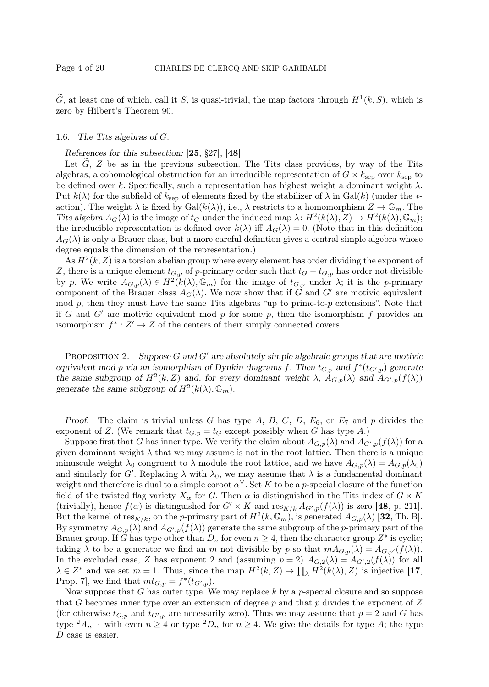$\tilde{G}$ , at least one of which, call it S, is quasi-trivial, the map factors through  $H^1(k, S)$ , which is zero by Hilbert's Theorem 90.  $\Box$ 

#### 1.6. The Tits algebras of G.

References for this subsection: [25, §27], [48]

Let  $\tilde{G}$ , Z be as in the previous subsection. The Tits class provides, by way of the Tits algebras, a cohomological obstruction for an irreducible representation of  $G \times k_{\rm sep}$  over  $k_{\rm sep}$  to be defined over k. Specifically, such a representation has highest weight a dominant weight  $\lambda$ . Put  $k(\lambda)$  for the subfield of  $k_{\text{sep}}$  of elements fixed by the stabilizer of  $\lambda$  in Gal(k) (under the \*action). The weight  $\lambda$  is fixed by Gal $(k(\lambda))$ , i.e.,  $\lambda$  restricts to a homomorphism  $Z \to \mathbb{G}_m$ . The Tits algebra  $A_G(\lambda)$  is the image of  $t_G$  under the induced map  $\lambda: H^2(k(\lambda), Z) \to H^2(k(\lambda), \mathbb{G}_m)$ ; the irreducible representation is defined over  $k(\lambda)$  iff  $A_G(\lambda) = 0$ . (Note that in this definition  $A_G(\lambda)$  is only a Brauer class, but a more careful definition gives a central simple algebra whose degree equals the dimension of the representation.)

As  $H^2(k, Z)$  is a torsion abelian group where every element has order dividing the exponent of Z, there is a unique element  $t_{G,p}$  of p-primary order such that  $t_G - t_{G,p}$  has order not divisible by p. We write  $A_{G,p}(\lambda) \in H^2(k(\lambda), \mathbb{G}_m)$  for the image of  $t_{G,p}$  under  $\lambda$ ; it is the p-primary component of the Brauer class  $A_G(\lambda)$ . We now show that if G and G' are motivic equivalent mod  $p$ , then they must have the same Tits algebras "up to prime-to- $p$  extensions". Note that if G and G' are motivic equivalent mod p for some p, then the isomorphism f provides an isomorphism  $f^* : Z' \to Z$  of the centers of their simply connected covers.

PROPOSITION 2. Suppose G and  $G'$  are absolutely simple algebraic groups that are motivic equivalent mod p via an isomorphism of Dynkin diagrams f. Then  $t_{G,p}$  and  $f^*(t_{G,p})$  generate the same subgroup of  $H^2(k, Z)$  and, for every dominant weight  $\lambda$ ,  $A_{G, p}(\lambda)$  and  $A_{G', p}(f(\lambda))$ generate the same subgroup of  $H^2(k(\lambda), \mathbb{G}_m)$ .

Proof. The claim is trivial unless G has type A, B, C, D,  $E_6$ , or  $E_7$  and p divides the exponent of Z. (We remark that  $t_{G,p} = t_G$  except possibly when G has type A.)

Suppose first that G has inner type. We verify the claim about  $A_{G,p}(\lambda)$  and  $A_{G',p}(f(\lambda))$  for a given dominant weight  $\lambda$  that we may assume is not in the root lattice. Then there is a unique minuscule weight  $\lambda_0$  congruent to  $\lambda$  module the root lattice, and we have  $A_{G,p}(\lambda) = A_{G,p}(\lambda_0)$ and similarly for G'. Replacing  $\lambda$  with  $\lambda_0$ , we may assume that  $\lambda$  is a fundamental dominant weight and therefore is dual to a simple coroot  $\alpha^{\vee}$ . Set K to be a p-special closure of the function field of the twisted flag variety  $X_\alpha$  for G. Then  $\alpha$  is distinguished in the Tits index of  $G \times K$ (trivially), hence  $f(\alpha)$  is distinguished for  $G' \times K$  and  $res_{K/k} A_{G',p}(f(\lambda))$  is zero [48, p. 211]. But the kernel of  $res_{K/k}$ , on the p-primary part of  $H^2(k, \mathbb{G}_m)$ , is generated  $A_{G,p}(\lambda)$  [32, Th. B]. By symmetry  $A_{G,p}(\lambda)$  and  $A_{G',p}(f(\lambda))$  generate the same subgroup of the p-primary part of the Brauer group. If G has type other than  $D_n$  for even  $n \geq 4$ , then the character group  $Z^*$  is cyclic; taking  $\lambda$  to be a generator we find an m not divisible by p so that  $mA_{G,p}(\lambda) = A_{G,p'}(f(\lambda)).$ In the excluded case, Z has exponent 2 and (assuming  $p = 2$ )  $A_{G,2}(\lambda) = A_{G',2}(f(\lambda))$  for all  $\lambda \in Z^*$  and we set  $m = 1$ . Thus, since the map  $H^2(k, Z) \to \prod_{\lambda} H^2(k(\lambda), Z)$  is injective [17, Prop. 7, we find that  $m t_{G,p} = f^*(t_{G,p}).$ 

Now suppose that G has outer type. We may replace  $k$  by a p-special closure and so suppose that G becomes inner type over an extension of degree  $p$  and that  $p$  divides the exponent of  $Z$ (for otherwise  $t_{G,p}$  and  $t_{G',p}$  are necessarily zero). Thus we may assume that  $p = 2$  and G has type  ${}^2A_{n-1}$  with even  $n \geq 4$  or type  ${}^2D_n$  for  $n \geq 4$ . We give the details for type A; the type D case is easier.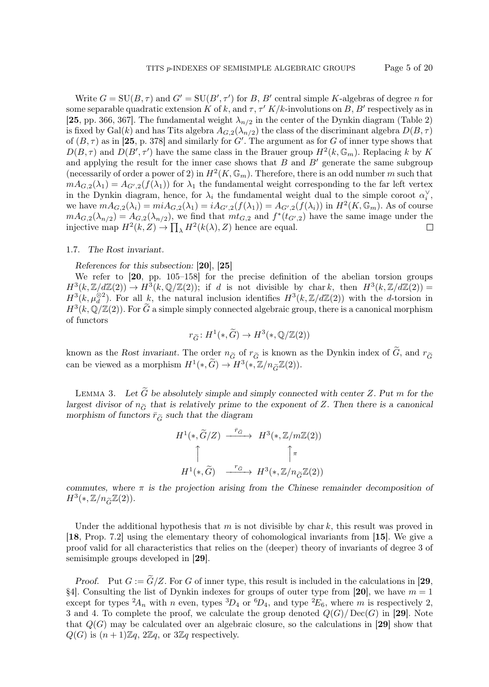Write  $G = SU(B, \tau)$  and  $G' = SU(B', \tau')$  for B, B' central simple K-algebras of degree n for some separable quadratic extension K of k, and  $\tau$ ,  $\tau' K/k$ -involutions on B, B' respectively as in [25, pp. 366, 367]. The fundamental weight  $\lambda_{n/2}$  in the center of the Dynkin diagram (Table 2) is fixed by Gal(k) and has Tits algebra  $A_{G,2}(\lambda_{n/2})$  the class of the discriminant algebra  $D(B,\tau)$ of  $(B, \tau)$  as in [25, p. 378] and similarly for G'. The argument as for G of inner type shows that  $D(B,\tau)$  and  $D(B',\tau')$  have the same class in the Brauer group  $H^2(k,\mathbb{G}_m)$ . Replacing k by K and applying the result for the inner case shows that  $B$  and  $B'$  generate the same subgroup (necessarily of order a power of 2) in  $H^2(K, \mathbb{G}_m)$ . Therefore, there is an odd number m such that  $mA_{G,2}(\lambda_1) = A_{G',2}(f(\lambda_1))$  for  $\lambda_1$  the fundamental weight corresponding to the far left vertex in the Dynkin diagram, hence, for  $\lambda_i$  the fundamental weight dual to the simple coroot  $\alpha_i^{\vee}$ , we have  $mA_{G,2}(\lambda_i) = miA_{G,2}(\lambda_1) = iA_{G',2}(f(\lambda_1)) = A_{G',2}(f(\lambda_i))$  in  $H^2(K, \mathbb{G}_m)$ . As of course  $mA_{G,2}(\lambda_{n/2}) = A_{G,2}(\lambda_{n/2})$ , we find that  $m t_{G,2}$  and  $f^*(t_{G',2})$  have the same image under the injective map  $H^2(k, Z) \to \prod_{\lambda} H^2(k(\lambda), Z)$  hence are equal. □

#### 1.7. The Rost invariant.

References for this subsection: [20], [25]

We refer to [20, pp. 105–158] for the precise definition of the abelian torsion groups  $H^3(k,\mathbb{Z}/d\mathbb{Z}(2)) \to H^3(k,\mathbb{Q}/\mathbb{Z}(2));$  if d is not divisible by chark, then  $H^3(k,\mathbb{Z}/d\mathbb{Z}(2)) =$  $H^3(k, \mu_d^{\otimes 2})$ . For all k, the natural inclusion identifies  $H^3(k, \mathbb{Z}/d\mathbb{Z}(2))$  with the d-torsion in  $H^3(k, \mathbb{Q}/\mathbb{Z}(2))$ . For  $\widetilde{G}$  a simple simply connected algebraic group, there is a canonical morphism of functors

$$
r_{\widetilde{G}}: H^1(*,\widetilde{G}) \to H^3(*,\mathbb{Q}/\mathbb{Z}(2))
$$

known as the Rost invariant. The order  $n_{\tilde{G}}$  of  $r_{\tilde{G}}$  is known as the Dynkin index of  $\tilde{G}$ , and  $r_{\tilde{G}}$ can be viewed as a morphism  $H^1(*, \widetilde{G}) \to H^3(*, \mathbb{Z}/n_{\widetilde{G}}\mathbb{Z}(2)).$ 

LEMMA 3. Let  $\tilde{G}$  be absolutely simple and simply connected with center Z. Put m for the largest divisor of  $n_{\tilde{G}}$  that is relatively prime to the exponent of Z. Then there is a canonical morphism of functors  $\bar{r}_{\tilde{G}}$  such that the diagram

$$
H^{1}(*, \widetilde{G}/Z) \xrightarrow{\bar{r}_{\widetilde{G}}} H^{3}(*, \mathbb{Z}/m\mathbb{Z}(2))
$$
  
\n
$$
\uparrow \qquad \qquad \uparrow \qquad \qquad \uparrow \pi
$$
  
\n
$$
H^{1}(*, \widetilde{G}) \xrightarrow{r_{\widetilde{G}}} H^{3}(*, \mathbb{Z}/n_{\widetilde{G}}\mathbb{Z}(2))
$$

commutes, where  $\pi$  is the projection arising from the Chinese remainder decomposition of  $H^3(*,\mathbb{Z}/n_{\widetilde{G}}\mathbb{Z}(2)).$ 

Under the additional hypothesis that m is not divisible by char k, this result was proved in [18, Prop. 7.2] using the elementary theory of cohomological invariants from [15]. We give a proof valid for all characteristics that relies on the (deeper) theory of invariants of degree 3 of semisimple groups developed in [29].

*Proof.* Put  $G := \widetilde{G}/Z$ . For G of inner type, this result is included in the calculations in [29, §4]. Consulting the list of Dynkin indexes for groups of outer type from [20], we have  $m = 1$ except for types  ${}^2A_n$  with n even, types  ${}^3D_4$  or  ${}^6D_4$ , and type  ${}^2E_6$ , where m is respectively 2, 3 and 4. To complete the proof, we calculate the group denoted  $Q(G)/\text{Dec}(G)$  in [29]. Note that  $Q(G)$  may be calculated over an algebraic closure, so the calculations in [29] show that  $Q(G)$  is  $(n+1)\mathbb{Z}q$ ,  $2\mathbb{Z}q$ , or  $3\mathbb{Z}q$  respectively.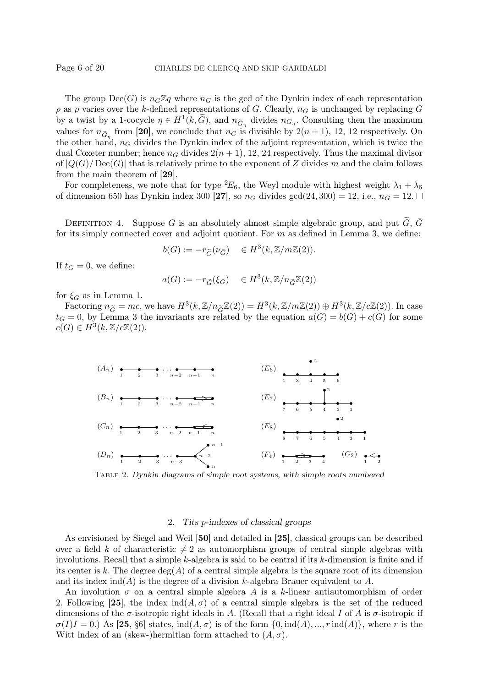The group  $Dec(G)$  is  $n_G\mathbb{Z}q$  where  $n_G$  is the gcd of the Dynkin index of each representation  $\rho$  as  $\rho$  varies over the k-defined representations of G. Clearly,  $n_G$  is unchanged by replacing G by a twist by a 1-cocycle  $\eta \in H^1(k, \tilde{G})$ , and  $n_{\tilde{G}_{\eta}}$  divides  $n_{G_{\eta}}$ . Consulting then the maximum values for  $n_{\tilde{G}_\eta}$  from [20], we conclude that  $n_G$  is divisible by  $2(n+1)$ , 12, 12 respectively. On the other hand,  $n<sub>G</sub>$  divides the Dynkin index of the adjoint representation, which is twice the dual Coxeter number; hence  $n_G$  divides  $2(n + 1)$ , 12, 24 respectively. Thus the maximal divisor of  $|Q(G)/\text{Dec}(G)|$  that is relatively prime to the exponent of Z divides m and the claim follows from the main theorem of [29].

For completeness, we note that for type  ${}^2E_6$ , the Weyl module with highest weight  $\lambda_1 + \lambda_6$ of dimension 650 has Dynkin index 300 [27], so  $n_G$  divides gcd(24, 300) = 12, i.e.,  $n_G = 12$ .

DEFINITION 4. Suppose G is an absolutely almost simple algebraic group, and put  $\tilde{G}$ ,  $\bar{G}$ for its simply connected cover and adjoint quotient. For  $m$  as defined in Lemma 3, we define:

$$
b(G) := -\bar{r}_{\widetilde{G}}(\nu_{\bar{G}}) \quad \in H^3(k, \mathbb{Z}/m\mathbb{Z}(2)).
$$

If  $t_G = 0$ , we define:

$$
a(G) := -r_{\widetilde{G}}(\xi_{\widetilde{G}}) \in H^3(k, \mathbb{Z}/n_{\widetilde{G}}\mathbb{Z}(2))
$$

for  $\xi_{\bar{G}}$  as in Lemma 1.

Factoring  $n_{\tilde{G}} = mc$ , we have  $H^3(k, \mathbb{Z}/n_{\tilde{G}}\mathbb{Z}(2)) = H^3(k, \mathbb{Z}/m\mathbb{Z}(2)) \oplus H^3(k, \mathbb{Z}/c\mathbb{Z}(2))$ . In case  $t_G = 0$ , by Lemma 3 the invariants are related by the equation  $a(G) = b(G) + c(G)$  for some  $c(G) \in H^3(k, \mathbb{Z}/c\mathbb{Z}(2)).$ 



Table 2. Dynkin diagrams of simple root systems, with simple roots numbered

## 2. Tits p-indexes of classical groups

As envisioned by Siegel and Weil [50] and detailed in [25], classical groups can be described over a field k of characteristic  $\neq 2$  as automorphism groups of central simple algebras with involutions. Recall that a simple  $k$ -algebra is said to be central if its  $k$ -dimension is finite and if its center is k. The degree  $deg(A)$  of a central simple algebra is the square root of its dimension and its index  $\text{ind}(A)$  is the degree of a division k-algebra Brauer equivalent to A.

An involution  $\sigma$  on a central simple algebra A is a k-linear antiautomorphism of order 2. Following [25], the index  $\text{ind}(A, \sigma)$  of a central simple algebra is the set of the reduced dimensions of the  $\sigma$ -isotropic right ideals in A. (Recall that a right ideal I of A is  $\sigma$ -isotropic if  $\sigma(I)I = 0.$ ) As [25, §6] states, ind $(A, \sigma)$  is of the form  $\{0, \text{ind}(A), ..., r \text{ ind}(A)\}\)$ , where r is the Witt index of an (skew-)hermitian form attached to  $(A, \sigma)$ .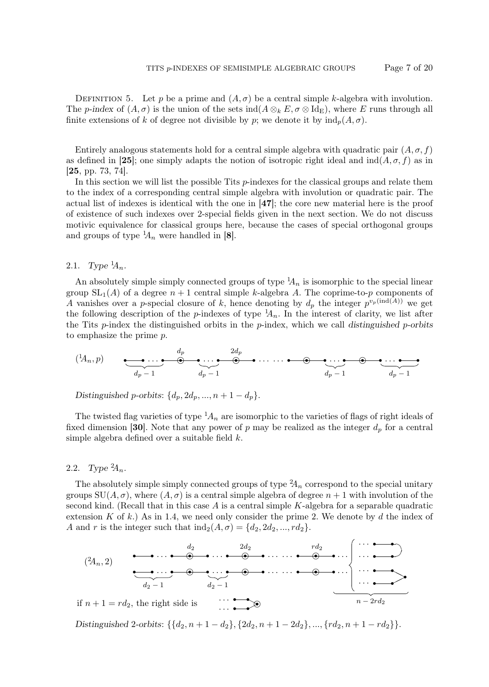DEFINITION 5. Let p be a prime and  $(A, \sigma)$  be a central simple k-algebra with involution. The p-index of  $(A, \sigma)$  is the union of the sets ind $(A \otimes_k E, \sigma \otimes \mathrm{Id}_E)$ , where E runs through all finite extensions of k of degree not divisible by p; we denote it by  $ind_n(A, \sigma)$ .

Entirely analogous statements hold for a central simple algebra with quadratic pair  $(A, \sigma, f)$ as defined in [25]; one simply adapts the notion of isotropic right ideal and  $\text{ind}(A, \sigma, f)$  as in [25, pp. 73, 74].

In this section we will list the possible Tits p-indexes for the classical groups and relate them to the index of a corresponding central simple algebra with involution or quadratic pair. The actual list of indexes is identical with the one in [47]; the core new material here is the proof of existence of such indexes over 2-special fields given in the next section. We do not discuss motivic equivalence for classical groups here, because the cases of special orthogonal groups and groups of type  $A_n$  were handled in [8].

2.1. Type  $^{1}\!A_n$ .

An absolutely simple simply connected groups of type  ${}^{1}A_n$  is isomorphic to the special linear group  $SL_1(A)$  of a degree  $n + 1$  central simple k-algebra A. The coprime-to-p components of A vanishes over a p-special closure of k, hence denoting by  $d_p$  the integer  $p^{v_p(\text{ind}(A))}$  we get the following description of the p-indexes of type  $A_n$ . In the interest of clarity, we list after the Tits  $p$ -index the distinguished orbits in the  $p$ -index, which we call distinguished  $p$ -orbits to emphasize the prime p.

$$
(1A_n, p) \qquad \underbrace{\bullet \bullet \cdots \bullet}_{d_p-1} \qquad \underbrace{\bullet \cdots \bullet}_{d_p-1} \qquad \underbrace{\bullet \cdots \bullet}_{d_p-1} \qquad \underbrace{\bullet \cdots \bullet}_{d_p-1} \qquad \underbrace{\bullet \cdots \bullet}_{d_p-1}
$$

Distinguished p-orbits:  $\{d_p, 2d_p, ..., n+1-d_p\}.$ 

The twisted flag varieties of type  ${}^{1}A_n$  are isomorphic to the varieties of flags of right ideals of fixed dimension [30]. Note that any power of p may be realized as the integer  $d_p$  for a central simple algebra defined over a suitable field k.

2.2. Type  ${}^{2}\!A_n$ .

The absolutely simple simply connected groups of type  ${}^{2}A_n$  correspond to the special unitary groups  $SU(A,\sigma)$ , where  $(A,\sigma)$  is a central simple algebra of degree  $n+1$  with involution of the second kind. (Recall that in this case  $A$  is a central simple  $K$ -algebra for a separable quadratic extension K of k.) As in 1.4, we need only consider the prime 2. We denote by d the index of A and r is the integer such that  $\text{ind}_2(A, \sigma) = \{d_2, 2d_2, ..., rd_2\}.$ 

$$
(2A_n, 2)
$$
\n
$$
(2A_n, 2)
$$
\n
$$
(2A_n, 2)
$$
\n
$$
(2A_n, 2)
$$
\n
$$
(2A_n, 2)
$$
\n
$$
(2A_n, 2)
$$
\n
$$
(2A_n, 2)
$$
\n
$$
(2A_n, 2)
$$
\n
$$
(2A_n, 2)
$$
\n
$$
(2A_n, 2)
$$
\n
$$
(2A_n, 2)
$$
\n
$$
(2A_n, 2)
$$
\n
$$
(2A_n, 2)
$$
\n
$$
(2A_n, 2)
$$
\n
$$
(2A_n, 2)
$$
\n
$$
(2A_n, 2)
$$
\n
$$
(2A_n, 2)
$$
\n
$$
(2A_n, 2)
$$
\n
$$
(2A_n, 2)
$$
\n
$$
(2A_n, 2)
$$
\n
$$
(2A_n, 2)
$$
\n
$$
(2A_n, 2)
$$
\n
$$
(2A_n, 2)
$$
\n
$$
(2A_n, 2)
$$
\n
$$
(2A_n, 2)
$$
\n
$$
(2A_n, 2)
$$
\n
$$
(2A_n, 2)
$$
\n
$$
(2A_n, 2)
$$
\n
$$
(2A_n, 2)
$$
\n
$$
(2A_n, 2)
$$
\n
$$
(2A_n, 2)
$$
\n
$$
(2A_n, 2)
$$
\n
$$
(2A_n, 2)
$$
\n
$$
(2A_n, 2)
$$
\n
$$
(2A_n, 2)
$$
\n
$$
(2A_n, 2)
$$
\n
$$
(2A_n, 2)
$$
\n
$$
(2A_n, 2)
$$
\n
$$
(2A_n, 2)
$$
\n
$$
(2A_n, 2)
$$
\n
$$
(2A_n, 2)
$$
\n
$$
(2A_n, 2)
$$
\n
$$
(2A_n, 2)
$$
\n
$$
(2A_n, 2)
$$
\n
$$
(2A_n, 2)
$$
\n
$$
(2A_n, 2)
$$
\n
$$
(2A_n, 2)
$$
\n
$$
(2A_n, 2)
$$

Distinguished 2-orbits:  $\{\{d_2, n+1-d_2\}, \{2d_2, n+1-2d_2\}, ..., \{rd_2, n+1-rd_2\}\}.$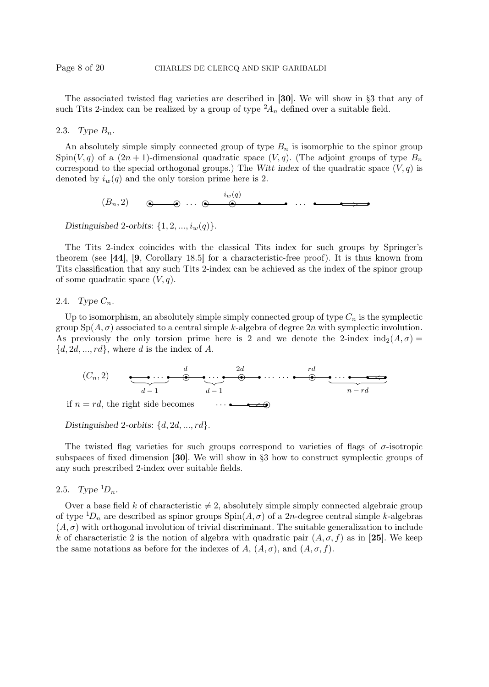The associated twisted flag varieties are described in [30]. We will show in §3 that any of such Tits 2-index can be realized by a group of type  ${}^2A_n$  defined over a suitable field.

2.3. Type  $B_n$ .

An absolutely simple simply connected group of type  $B_n$  is isomorphic to the spinor group Spin(V, q) of a  $(2n+1)$ -dimensional quadratic space  $(V, q)$ . (The adjoint groups of type  $B_n$ correspond to the special orthogonal groups.) The Witt index of the quadratic space  $(V, q)$  is denoted by  $i_w(q)$  and the only torsion prime here is 2.

(Bn, 2) r r · · · r r r r · · · ❢❢ ❢ ❢ r r r <sup>&</sup>gt; iw(q)

Distinguished 2-orbits:  $\{1, 2, ..., i_w(q)\}.$ 

The Tits 2-index coincides with the classical Tits index for such groups by Springer's theorem (see [44], [9, Corollary 18.5] for a characteristic-free proof). It is thus known from Tits classification that any such Tits 2-index can be achieved as the index of the spinor group of some quadratic space  $(V, q)$ .

2.4. Type  $C_n$ .

Up to isomorphism, an absolutely simple simply connected group of type  $C_n$  is the symplectic group  $Sp(A, \sigma)$  associated to a central simple k-algebra of degree 2n with symplectic involution. As previously the only torsion prime here is 2 and we denote the 2-index  $ind_2(A, \sigma) =$  $\{d, 2d, ..., rd\}$ , where d is the index of A.



Distinguished 2-orbits:  $\{d, 2d, ..., rd\}$ .

The twisted flag varieties for such groups correspond to varieties of flags of  $\sigma$ -isotropic subspaces of fixed dimension [30]. We will show in §3 how to construct symplectic groups of any such prescribed 2-index over suitable fields.

2.5. Type  ${}^1D_n$ .

Over a base field k of characteristic  $\neq 2$ , absolutely simple simply connected algebraic group of type  ${}^1D_n$  are described as spinor groups  $Spin(A, \sigma)$  of a 2n-degree central simple k-algebras  $(A, \sigma)$  with orthogonal involution of trivial discriminant. The suitable generalization to include k of characteristic 2 is the notion of algebra with quadratic pair  $(A, \sigma, f)$  as in [25]. We keep the same notations as before for the indexes of A,  $(A, \sigma)$ , and  $(A, \sigma, f)$ .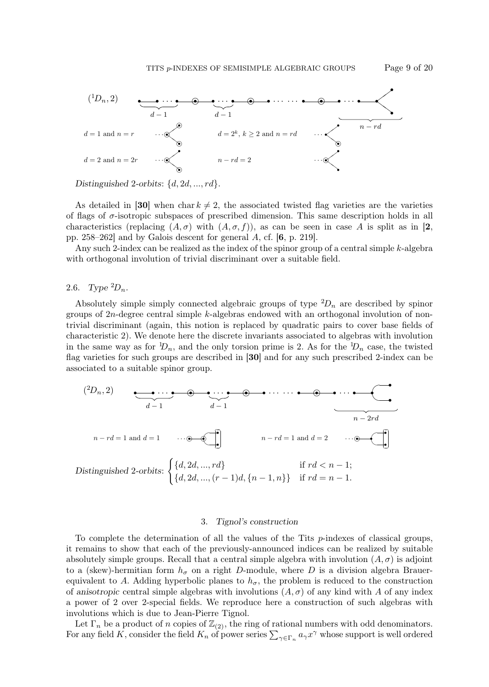

Distinguished 2-orbits:  $\{d, 2d, ..., rd\}$ .

As detailed in [30] when char  $k \neq 2$ , the associated twisted flag varieties are the varieties of flags of  $\sigma$ -isotropic subspaces of prescribed dimension. This same description holds in all characteristics (replacing  $(A, \sigma)$  with  $(A, \sigma, f)$ ), as can be seen in case A is split as in [2, pp. 258–262] and by Galois descent for general A, cf. [6, p. 219].

Any such 2-index can be realized as the index of the spinor group of a central simple  $k$ -algebra with orthogonal involution of trivial discriminant over a suitable field.

2.6. Type  ${}^2D_n$ .

Absolutely simple simply connected algebraic groups of type  ${}^2D_n$  are described by spinor groups of 2n-degree central simple k-algebras endowed with an orthogonal involution of nontrivial discriminant (again, this notion is replaced by quadratic pairs to cover base fields of characteristic 2). We denote here the discrete invariants associated to algebras with involution in the same way as for  $D_n$ , and the only torsion prime is 2. As for the  $D_n$  case, the twisted flag varieties for such groups are described in [30] and for any such prescribed 2-index can be associated to a suitable spinor group.



#### 3. Tignol's construction

To complete the determination of all the values of the Tits  $p$ -indexes of classical groups, it remains to show that each of the previously-announced indices can be realized by suitable absolutely simple groups. Recall that a central simple algebra with involution  $(A, \sigma)$  is adjoint to a (skew)-hermitian form  $h_{\sigma}$  on a right D-module, where D is a division algebra Brauerequivalent to A. Adding hyperbolic planes to  $h_{\sigma}$ , the problem is reduced to the construction of anisotropic central simple algebras with involutions  $(A, \sigma)$  of any kind with A of any index a power of 2 over 2-special fields. We reproduce here a construction of such algebras with involutions which is due to Jean-Pierre Tignol.

Let  $\Gamma_n$  be a product of n copies of  $\mathbb{Z}_{(2)}$ , the ring of rational numbers with odd denominators. For any field K, consider the field  $K_n$  of power series  $\sum_{\gamma \in \Gamma_n} a_\gamma x^\gamma$  whose support is well ordered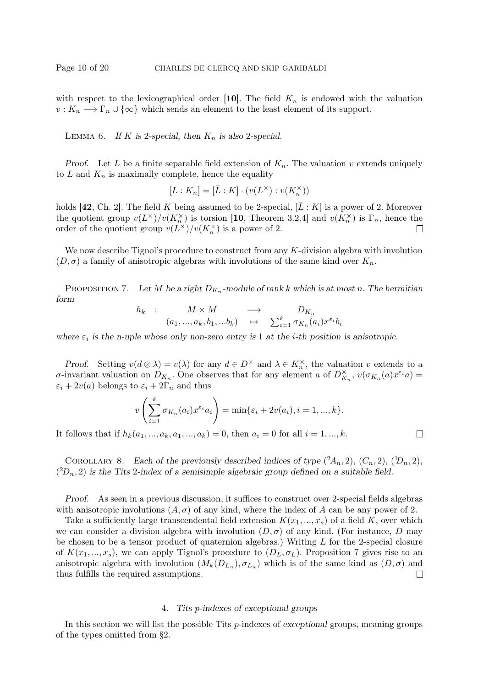with respect to the lexicographical order [10]. The field  $K_n$  is endowed with the valuation  $v: K_n \longrightarrow \Gamma_n \cup \{\infty\}$  which sends an element to the least element of its support.

LEMMA 6. If K is 2-special, then  $K_n$  is also 2-special.

Proof. Let L be a finite separable field extension of  $K_n$ . The valuation v extends uniquely to  $L$  and  $K_n$  is maximally complete, hence the equality

$$
[L:K_n]=[\bar L:K]\cdot(v(L^\times):v(K_n^\times))
$$

holds [42, Ch. 2]. The field K being assumed to be 2-special,  $[\bar{L}:K]$  is a power of 2. Moreover the quotient group  $v(L^{\times})/v(K_n^{\times})$  is torsion [10, Theorem 3.2.4] and  $v(K_n^{\times})$  is  $\Gamma_n$ , hence the order of the quotient group  $v(L^{\times})/v(K_n^{\times})$  is a power of 2.  $\Box$ 

We now describe Tignol's procedure to construct from any  $K$ -division algebra with involution  $(D, \sigma)$  a family of anisotropic algebras with involutions of the same kind over  $K_n$ .

PROPOSITION 7. Let M be a right  $D_{K_n}$ -module of rank k which is at most n. The hermitian form

$$
h_k : M \times M \longrightarrow D_{K_n}
$$
  
\n
$$
(a_1, ..., a_k, b_1, ...b_k) \rightarrow \sum_{i=1}^k \sigma_{K_n}(a_i) x^{\varepsilon_i} b_i
$$

where  $\varepsilon_i$  is the n-uple whose only non-zero entry is 1 at the *i*-th position is anisotropic.

Proof. Setting  $v(d \otimes \lambda) = v(\lambda)$  for any  $d \in D^{\times}$  and  $\lambda \in K_n^{\times}$ , the valuation v extends to a σ-invariant valuation on  $D_{K_n}$ . One observes that for any element a of  $D_{K_n}^{\times}$ ,  $v(\sigma_{K_n}(a)x^{\varepsilon_i}a)$  =  $\varepsilon_i + 2v(a)$  belongs to  $\varepsilon_i + 2\Gamma_n$  and thus

$$
v\left(\sum_{i=1}^k \sigma_{K_n}(a_i)x^{\varepsilon_i}a_i\right) = \min\{\varepsilon_i + 2v(a_i), i = 1, ..., k\}.
$$

 $\Box$ 

It follows that if  $h_k(a_1, ..., a_k, a_1, ..., a_k) = 0$ , then  $a_i = 0$  for all  $i = 1, ..., k$ .

COROLLARY 8. Each of the previously described indices of type  $(2A_n, 2)$ ,  $(C_n, 2)$ ,  $(1D_n, 2)$ ,  $(2D_n, 2)$  is the Tits 2-index of a semisimple algebraic group defined on a suitable field.

Proof. As seen in a previous discussion, it suffices to construct over 2-special fields algebras with anisotropic involutions  $(A, \sigma)$  of any kind, where the index of A can be any power of 2.

Take a sufficiently large transcendental field extension  $K(x_1, ..., x_s)$  of a field K, over which we can consider a division algebra with involution  $(D, \sigma)$  of any kind. (For instance, D may be chosen to be a tensor product of quaternion algebras.) Writing L for the 2-special closure of  $K(x_1,...,x_s)$ , we can apply Tignol's procedure to  $(D_L, \sigma_L)$ . Proposition 7 gives rise to an anisotropic algebra with involution  $(M_k(D_{L_n}), \sigma_{L_n})$  which is of the same kind as  $(D, \sigma)$  and thus fulfills the required assumptions.  $\Box$ 

## 4. Tits p-indexes of exceptional groups

In this section we will list the possible Tits  $p$ -indexes of exceptional groups, meaning groups of the types omitted from §2.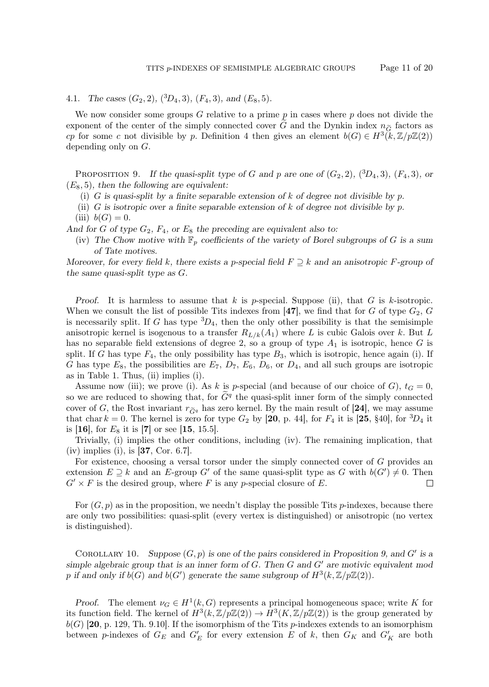4.1. The cases  $(G_2, 2)$ ,  $(^3D_4, 3)$ ,  $(F_4, 3)$ , and  $(E_8, 5)$ .

We now consider some groups  $G$  relative to a prime  $p$  in cases where  $p$  does not divide the exponent of the center of the simply connected cover G and the Dynkin index  $n_{\widetilde{\sigma}}$  factors as cp for some c not divisible by p. Definition 4 then gives an element  $b(G) \in H^3(\mathbb{k}, \mathbb{Z}/p\mathbb{Z}(2))$ depending only on G.

PROPOSITION 9. If the quasi-split type of G and p are one of  $(G_2, 2)$ ,  $(^3D_4, 3)$ ,  $(F_4, 3)$ , or  $(E_8, 5)$ , then the following are equivalent:

- (i) G is quasi-split by a finite separable extension of k of degree not divisible by p.
- (ii) G is isotropic over a finite separable extension of k of degree not divisible by p. (iii)  $b(G) = 0$ .

And for G of type  $G_2$ ,  $F_4$ , or  $E_8$  the preceding are equivalent also to:

(iv) The Chow motive with  $\mathbb{F}_p$  coefficients of the variety of Borel subgroups of G is a sum of Tate motives.

Moreover, for every field k, there exists a p-special field  $F \supseteq k$  and an anisotropic F-group of the same quasi-split type as G.

Proof. It is harmless to assume that k is p-special. Suppose (ii), that G is k-isotropic. When we consult the list of possible Tits indexes from [47], we find that for G of type  $G_2$ , G is necessarily split. If G has type  ${}^{3}D_4$ , then the only other possibility is that the semisimple anisotropic kernel is isogenous to a transfer  $R_{L/k}(A_1)$  where L is cubic Galois over k. But L has no separable field extensions of degree 2, so a group of type  $A_1$  is isotropic, hence G is split. If G has type  $F_4$ , the only possibility has type  $B_3$ , which is isotropic, hence again (i). If G has type  $E_8$ , the possibilities are  $E_7$ ,  $D_7$ ,  $E_6$ ,  $D_6$ , or  $D_4$ , and all such groups are isotropic as in Table 1. Thus, (ii) implies (i).

Assume now (iii); we prove (i). As k is p-special (and because of our choice of G),  $t_G = 0$ , so we are reduced to showing that, for  $\tilde{G}^q$  the quasi-split inner form of the simply connected cover of G, the Rost invariant  $r_{\tilde{G}q}$  has zero kernel. By the main result of [24], we may assume that char  $k = 0$ . The kernel is zero for type  $G_2$  by [20, p. 44], for  $F_4$  it is [25, §40], for  ${}^3D_4$  it is [16], for  $E_8$  it is [7] or see [15, 15.5].

Trivially, (i) implies the other conditions, including (iv). The remaining implication, that  $(iv)$  implies (i), is [37, Cor. 6.7].

For existence, choosing a versal torsor under the simply connected cover of G provides an extension  $E \supseteq k$  and an E-group G' of the same quasi-split type as G with  $b(G') \neq 0$ . Then  $G' \times F$  is the desired group, where F is any p-special closure of E.  $\Box$ 

For  $(G, p)$  as in the proposition, we needn't display the possible Tits p-indexes, because there are only two possibilities: quasi-split (every vertex is distinguished) or anisotropic (no vertex is distinguished).

COROLLARY 10. Suppose  $(G, p)$  is one of the pairs considered in Proposition 9, and G' is a simple algebraic group that is an inner form of  $G$ . Then  $G$  and  $G'$  are motivic equivalent mod p if and only if  $b(G)$  and  $b(G')$  generate the same subgroup of  $H^3(k, \mathbb{Z}/p\mathbb{Z}(2))$ .

*Proof.* The element  $\nu_G \in H^1(k, G)$  represents a principal homogeneous space; write K for its function field. The kernel of  $H^3(k,\mathbb{Z}/p\mathbb{Z}(2)) \to H^3(K,\mathbb{Z}/p\mathbb{Z}(2))$  is the group generated by  $b(G)$  [20, p. 129, Th. 9.10]. If the isomorphism of the Tits *p*-indexes extends to an isomorphism between p-indexes of  $G_E$  and  $G'_E$  for every extension E of k, then  $G_K$  and  $G'_K$  are both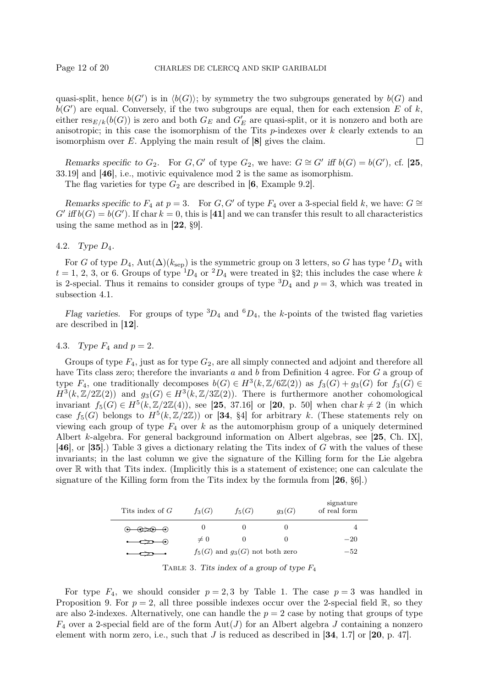quasi-split, hence  $b(G')$  is in  $\langle b(G) \rangle$ ; by symmetry the two subgroups generated by  $b(G)$  and  $b(G')$  are equal. Conversely, if the two subgroups are equal, then for each extension E of k, either  $res_{E/k}(b(G))$  is zero and both  $G_E$  and  $G'_E$  are quasi-split, or it is nonzero and both are anisotropic; in this case the isomorphism of the Tits  $p$ -indexes over  $k$  clearly extends to an isomorphism over  $E$ . Applying the main result of  $[8]$  gives the claim. П

Remarks specific to  $G_2$ . For  $G, G'$  of type  $G_2$ , we have:  $G \cong G'$  iff  $b(G) = b(G')$ , cf. [25, 33.19] and [46], i.e., motivic equivalence mod 2 is the same as isomorphism.

The flag varieties for type  $G_2$  are described in [6, Example 9.2].

Remarks specific to F<sub>4</sub> at p = 3. For G, G' of type F<sub>4</sub> over a 3-special field k, we have: G ≅  $G'$  iff  $b(G) = b(G')$ . If char  $k = 0$ , this is [41] and we can transfer this result to all characteristics using the same method as in [22, §9].

## 4.2. Type D4.

For G of type  $D_4$ , Aut $(\Delta)(k_{\rm sep})$  is the symmetric group on 3 letters, so G has type  ${}^tD_4$  with  $t = 1, 2, 3$ , or 6. Groups of type  ${}^{1}D_4$  or  ${}^{2}D_4$  were treated in §2; this includes the case where k is 2-special. Thus it remains to consider groups of type  ${}^{3}D_4$  and  $p=3$ , which was treated in subsection 4.1.

Flag varieties. For groups of type  ${}^{3}D_4$  and  ${}^{6}D_4$ , the k-points of the twisted flag varieties are described in [12].

## 4.3. Type  $F_4$  and  $p = 2$ .

Groups of type  $F_4$ , just as for type  $G_2$ , are all simply connected and adjoint and therefore all have Tits class zero; therefore the invariants a and b from Definition 4 agree. For G a group of type  $F_4$ , one traditionally decomposes  $b(G) \in H^3(k, \mathbb{Z}/6\mathbb{Z}(2))$  as  $f_3(G) + g_3(G)$  for  $f_3(G) \in$  $H^3(k, \mathbb{Z}/2\mathbb{Z}(2))$  and  $g_3(G) \in H^3(k, \mathbb{Z}/3\mathbb{Z}(2))$ . There is furthermore another cohomological invariant  $f_5(G) \in H^5(k, \mathbb{Z}/2\mathbb{Z}(4))$ , see [25, 37.16] or [20, p. 50] when char  $k \neq 2$  (in which case  $f_5(G)$  belongs to  $H^5(k,\mathbb{Z}/2\mathbb{Z})$  or [34, §4] for arbitrary k. (These statements rely on viewing each group of type  $F_4$  over k as the automorphism group of a uniquely determined Albert k-algebra. For general background information on Albert algebras, see [25, Ch. IX], [46], or [35].) Table 3 gives a dictionary relating the Tits index of G with the values of these invariants; in the last column we give the signature of the Killing form for the Lie algebra over  $\mathbb R$  with that Tits index. (Implicitly this is a statement of existence; one can calculate the signature of the Killing form from the Tits index by the formula from  $[26, \S6]$ .

| Tits index of $G$                         | $f_3(G)$                            | $f_5(G)$ | $g_3(G)$ | signature<br>of real form |
|-------------------------------------------|-------------------------------------|----------|----------|---------------------------|
| $\odot$ $\Longleftrightarrow$ $\odot$     | O                                   | $\cup$   |          |                           |
| $\rightarrow$<br>$\overline{\phantom{a}}$ | $\neq 0$                            | $\cup$   |          | $-20$                     |
|                                           | $f_5(G)$ and $g_3(G)$ not both zero | $-52$    |          |                           |

TABLE 3. Tits index of a group of type  $F_4$ 

For type  $F_4$ , we should consider  $p = 2, 3$  by Table 1. The case  $p = 3$  was handled in Proposition 9. For  $p = 2$ , all three possible indexes occur over the 2-special field R, so they are also 2-indexes. Alternatively, one can handle the  $p = 2$  case by noting that groups of type  $F_4$  over a 2-special field are of the form  $Aut(J)$  for an Albert algebra J containing a nonzero element with norm zero, i.e., such that  $J$  is reduced as described in [34, 1.7] or [20, p. 47].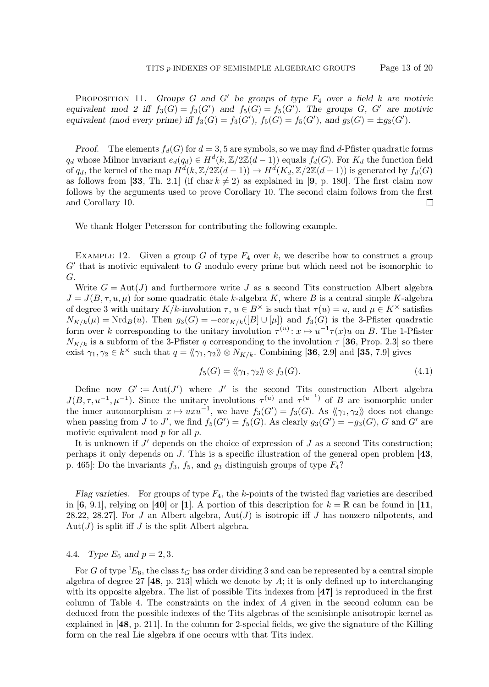PROPOSITION 11. Groups G and G' be groups of type  $F_4$  over a field k are motivic equivalent mod 2 iff  $f_3(G) = f_3(G')$  and  $f_5(G) = f_5(G')$ . The groups G, G' are motivic equivalent (mod every prime) iff  $f_3(G) = f_3(G')$ ,  $f_5(G) = f_5(G')$ , and  $g_3(G) = \pm g_3(G')$ .

*Proof.* The elements  $f_d(G)$  for  $d = 3, 5$  are symbols, so we may find d-Pfister quadratic forms  $q_d$  whose Milnor invariant  $e_d(q_d) \in H^d(k, \mathbb{Z}/2\mathbb{Z}(d-1))$  equals  $f_d(G)$ . For  $K_d$  the function field of  $q_d$ , the kernel of the map  $H^d(k, \mathbb{Z}/2\mathbb{Z}(d-1)) \to H^d(K_d, \mathbb{Z}/2\mathbb{Z}(d-1))$  is generated by  $f_d(G)$ as follows from [33, Th. 2.1] (if char  $k \neq 2$ ) as explained in [9, p. 180]. The first claim now follows by the arguments used to prove Corollary 10. The second claim follows from the first and Corollary 10.  $\Box$ 

We thank Holger Petersson for contributing the following example.

EXAMPLE 12. Given a group G of type  $F_4$  over k, we describe how to construct a group  $G'$  that is motivic equivalent to  $G$  modulo every prime but which need not be isomorphic to G.

Write  $G = Aut(J)$  and furthermore write J as a second Tits construction Albert algebra  $J = J(B, \tau, u, \mu)$  for some quadratic étale k-algebra K, where B is a central simple K-algebra of degree 3 with unitary  $K/k$ -involution  $\tau, u \in B^{\times}$  is such that  $\tau(u) = u$ , and  $\mu \in K^{\times}$  satisfies  $N_{K/k}(\mu) = \text{Nrd}_B(u)$ . Then  $g_3(G) = -\text{cor}_{K/k}([B] \cup [\mu])$  and  $f_3(G)$  is the 3-Pfister quadratic form over k corresponding to the unitary involution  $\tau^{(u)}$ :  $x \mapsto u^{-1} \tau(x)u$  on B. The 1-Pfister  $N_{K/k}$  is a subform of the 3-Pfister q corresponding to the involution  $\tau$  [36, Prop. 2.3] so there exist  $\gamma_1, \gamma_2 \in k^{\times}$  such that  $q = \langle \gamma_1, \gamma_2 \rangle \rangle \otimes N_{K/k}$ . Combining [36, 2.9] and [35, 7.9] gives

$$
f_5(G) = \langle \langle \gamma_1, \gamma_2 \rangle \rangle \otimes f_3(G). \tag{4.1}
$$

Define now  $G' := Aut(J')$  where J' is the second Tits construction Albert algebra  $J(B,\tau,u^{-1},\mu^{-1})$ . Since the unitary involutions  $\tau^{(u)}$  and  $\tau^{(u^{-1})}$  of B are isomorphic under the inner automorphism  $x \mapsto uxu^{-1}$ , we have  $f_3(G') = f_3(G)$ . As  $\langle \langle \gamma_1, \gamma_2 \rangle \rangle$  does not change when passing from J to J', we find  $f_5(G') = f_5(G)$ . As clearly  $g_3(G') = -g_3(G)$ , G and G' are motivic equivalent mod p for all p.

It is unknown if  $J'$  depends on the choice of expression of  $J$  as a second Tits construction; perhaps it only depends on J. This is a specific illustration of the general open problem  $[43,$ p. 465]: Do the invariants  $f_3$ ,  $f_5$ , and  $g_3$  distinguish groups of type  $F_4$ ?

Flag varieties. For groups of type  $F_4$ , the k-points of the twisted flag varieties are described in [6, 9.1], relying on [40] or [1]. A portion of this description for  $k = \mathbb{R}$  can be found in [11, 28.22, 28.27]. For J an Albert algebra,  $Aut(J)$  is isotropic iff J has nonzero nilpotents, and  $Aut(J)$  is split iff J is the split Albert algebra.

# 4.4. Type  $E_6$  and  $p = 2, 3$ .

For G of type  ${}^1E_6$ , the class  $t_G$  has order dividing 3 and can be represented by a central simple algebra of degree 27  $[48, p. 213]$  which we denote by A; it is only defined up to interchanging with its opposite algebra. The list of possible Tits indexes from [47] is reproduced in the first column of Table 4. The constraints on the index of A given in the second column can be deduced from the possible indexes of the Tits algebras of the semisimple anisotropic kernel as explained in [48, p. 211]. In the column for 2-special fields, we give the signature of the Killing form on the real Lie algebra if one occurs with that Tits index.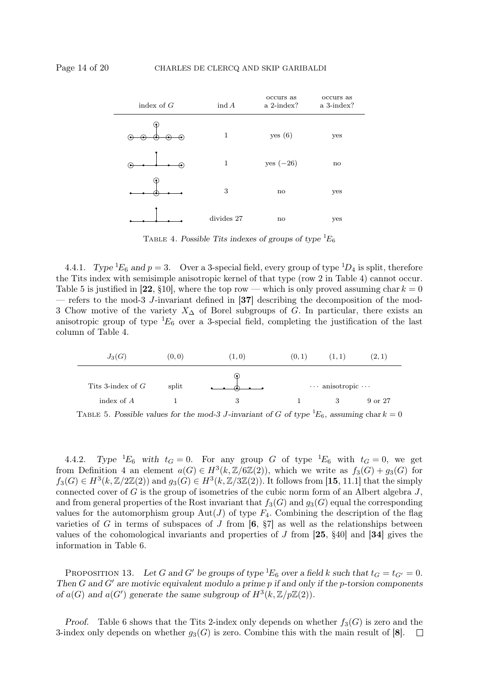

TABLE 4. Possible Tits indexes of groups of type  ${}^1E_6$ 

4.4.1. Type  ${}^1\!E_6$  and  $p = 3$ . Over a 3-special field, every group of type  ${}^1\!D_4$  is split, therefore the Tits index with semisimple anisotropic kernel of that type (row 2 in Table 4) cannot occur. Table 5 is justified in [22, §10], where the top row — which is only proved assuming char  $k = 0$ — refers to the mod-3 J-invariant defined in [37] describing the decomposition of the mod-3 Chow motive of the variety  $X_\Delta$  of Borel subgroups of G. In particular, there exists an anisotropic group of type  ${}^{1}E_{6}$  over a 3-special field, completing the justification of the last column of Table 4.



TABLE 5. Possible values for the mod-3 J-invariant of G of type  ${}^1E_6$ , assuming char  $k = 0$ 

4.4.2. Type  ${}^{1}E_6$  with  $t_G = 0$ . For any group G of type  ${}^{1}E_6$  with  $t_G = 0$ , we get from Definition 4 an element  $a(G) \in H^3(k, \mathbb{Z}/6\mathbb{Z}(2))$ , which we write as  $f_3(G) + g_3(G)$  for  $f_3(G) \in H^3(k, \mathbb{Z}/2\mathbb{Z}(2))$  and  $g_3(G) \in H^3(k, \mathbb{Z}/3\mathbb{Z}(2))$ . It follows from [15, 11.1] that the simply connected cover of  $G$  is the group of isometries of the cubic norm form of an Albert algebra  $J$ , and from general properties of the Rost invariant that  $f_3(G)$  and  $g_3(G)$  equal the corresponding values for the automorphism group  $Aut(J)$  of type  $F_4$ . Combining the description of the flag varieties of G in terms of subspaces of J from  $[6, 87]$  as well as the relationships between values of the cohomological invariants and properties of  $J$  from  $[25, §40]$  and  $[34]$  gives the information in Table 6.

PROPOSITION 13. Let G and G' be groups of type  ${}^1E_6$  over a field k such that  $t_G = t_{G'} = 0$ . Then G and G' are motivic equivalent modulo a prime  $p$  if and only if the p-torsion components of  $a(G)$  and  $a(G')$  generate the same subgroup of  $H^3(k, \mathbb{Z}/p\mathbb{Z}(2))$ .

*Proof.* Table 6 shows that the Tits 2-index only depends on whether  $f_3(G)$  is zero and the 3-index only depends on whether  $g_3(G)$  is zero. Combine this with the main result of [8].  $\Box$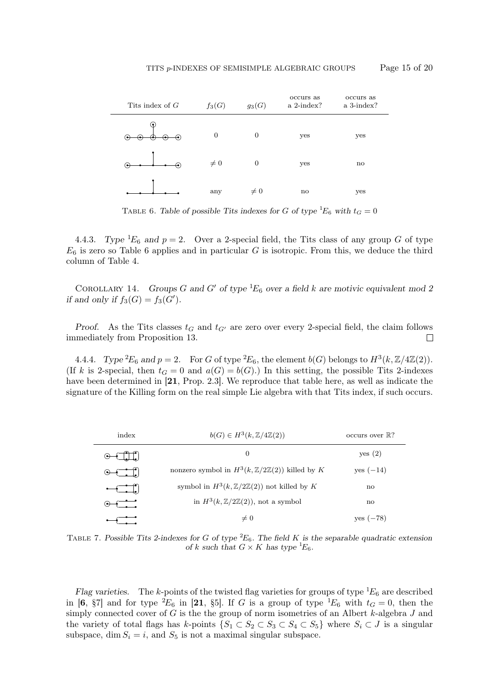

TABLE 6. Table of possible Tits indexes for G of type  ${}^1E_6$  with  $t_G = 0$ 

4.4.3. Type <sup>1</sup>E<sub>6</sub> and  $p = 2$ . Over a 2-special field, the Tits class of any group G of type  $E_6$  is zero so Table 6 applies and in particular G is isotropic. From this, we deduce the third column of Table 4.

COROLLARY 14. Groups G and G' of type  ${}^1E_6$  over a field k are motivic equivalent mod 2 if and only if  $f_3(G) = f_3(G')$ .

Proof. As the Tits classes  $t_G$  and  $t_{G'}$  are zero over every 2-special field, the claim follows immediately from Proposition 13.  $\Box$ 

4.4.4. Type  ${}^2E_6$  and  $p=2$ . For G of type  ${}^2E_6$ , the element  $b(G)$  belongs to  $H^3(k, \mathbb{Z}/4\mathbb{Z}(2))$ . (If k is 2-special, then  $t_G = 0$  and  $a(G) = b(G)$ .) In this setting, the possible Tits 2-indexes have been determined in [21, Prop. 2.3]. We reproduce that table here, as well as indicate the signature of the Killing form on the real simple Lie algebra with that Tits index, if such occurs.

| index | $b(G) \in H^3(k, \mathbb{Z}/4\mathbb{Z}(2))$                      | occurs over $\mathbb{R}$ ? |
|-------|-------------------------------------------------------------------|----------------------------|
|       | 0                                                                 | yes (2)                    |
|       | nonzero symbol in $H^3(k, \mathbb{Z}/2\mathbb{Z}(2))$ killed by K | yes $(-14)$                |
|       | symbol in $H^3(k, \mathbb{Z}/2\mathbb{Z}(2))$ not killed by K     | $\mathbf{n}$               |
|       | in $H^3(k, \mathbb{Z}/2\mathbb{Z}(2))$ , not a symbol             | $\mathbf{n}$               |
|       | $\neq 0$                                                          | $ves (-78)$                |

TABLE 7. Possible Tits 2-indexes for G of type  ${}^2E_6$ . The field K is the separable quadratic extension of k such that  $G \times K$  has type  ${}^1E_6$ .

Flag varieties. The k-points of the twisted flag varieties for groups of type  ${}^1E_6$  are described in [6,  $\S7$ ] and for type  ${}^2E_6$  in [21,  $\S5$ ]. If G is a group of type  ${}^1E_6$  with  $t_G = 0$ , then the simply connected cover of  $G$  is the the group of norm isometries of an Albert  $k$ -algebra  $J$  and the variety of total flags has k-points  $\{S_1 \subset S_2 \subset S_3 \subset S_4 \subset S_5\}$  where  $S_i \subset J$  is a singular subspace, dim  $S_i = i$ , and  $S_5$  is not a maximal singular subspace.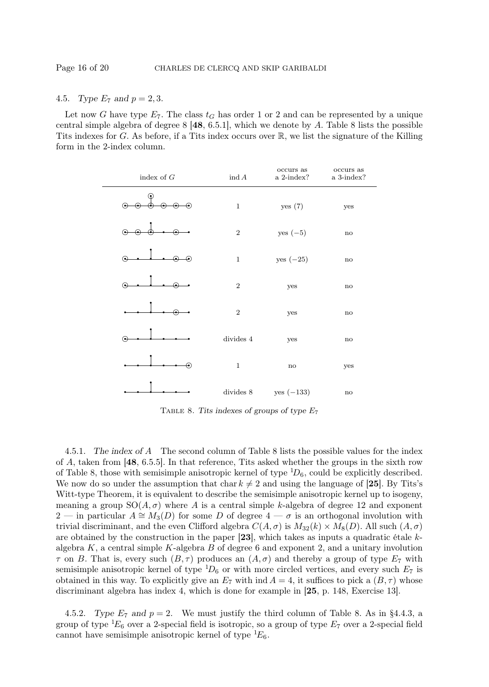# 4.5. Type  $E_7$  and  $p = 2, 3$ .

Let now G have type  $E_7$ . The class  $t_G$  has order 1 or 2 and can be represented by a unique central simple algebra of degree  $8 \, [48, 6.5.1]$ , which we denote by A. Table 8 lists the possible Tits indexes for G. As before, if a Tits index occurs over R, we list the signature of the Killing form in the 2-index column.

| index of $G$ | $\text{ind } A$ | occurs as<br>a 2-index? | occurs as<br>a 3-index? |
|--------------|-----------------|-------------------------|-------------------------|
| ີ            | $\,1\,$         | yes (7)                 | yes                     |
|              | $\,2$           | $yes (-5)$              | $\mathbf{no}$           |
| €            | $\,1\,$         | yes $(-25)$             | $\mathbf{no}$           |
|              | $\,2$           | yes                     | $\mathbf{no}$           |
|              | $\,2$           | yes                     | $\mathbf{no}$           |
| (•           | divides $4\,$   | yes                     | $\mathbf{no}$           |
| ∙            | $\,1$           | $\mathbf{no}$           | yes                     |
|              | $divides\ 8$    | $yes (-133)$            | $\mathbf{no}$           |

TABLE 8. Tits indexes of groups of type  $E_7$ 

4.5.1. The index of A The second column of Table 8 lists the possible values for the index of A, taken from  $[48, 6.5.5]$ . In that reference, Tits asked whether the groups in the sixth row of Table 8, those with semisimple anisotropic kernel of type  ${}^{1}D_6$ , could be explicitly described. We now do so under the assumption that char  $k \neq 2$  and using the language of [25]. By Tits's Witt-type Theorem, it is equivalent to describe the semisimple anisotropic kernel up to isogeny, meaning a group  $SO(A,\sigma)$  where A is a central simple k-algebra of degree 12 and exponent 2 — in particular  $A \cong M_3(D)$  for some D of degree  $4 - \sigma$  is an orthogonal involution with trivial discriminant, and the even Clifford algebra  $C(A, \sigma)$  is  $M_{32}(k) \times M_8(D)$ . All such  $(A, \sigma)$ are obtained by the construction in the paper [23], which takes as inputs a quadratic étale  $k$ algebra  $K$ , a central simple  $K$ -algebra  $B$  of degree 6 and exponent 2, and a unitary involution  $\tau$  on B. That is, every such  $(B, \tau)$  produces an  $(A, \sigma)$  and thereby a group of type  $E_7$  with semisimple anisotropic kernel of type  ${}^{1}D_6$  or with more circled vertices, and every such  $E_7$  is obtained in this way. To explicitly give an  $E_7$  with ind  $A = 4$ , it suffices to pick a  $(B, \tau)$  whose discriminant algebra has index 4, which is done for example in [25, p. 148, Exercise 13].

4.5.2. Type  $E_7$  and  $p = 2$ . We must justify the third column of Table 8. As in §4.4.3, a group of type  ${}^1E_6$  over a 2-special field is isotropic, so a group of type  $E_7$  over a 2-special field cannot have semisimple anisotropic kernel of type  ${}^{1}E_{6}$ .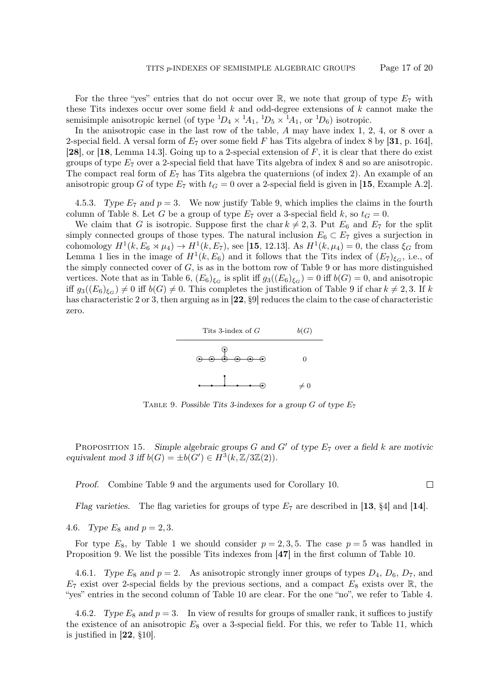$\Box$ 

For the three "yes" entries that do not occur over  $\mathbb{R}$ , we note that group of type  $E_7$  with these Tits indexes occur over some field  $k$  and odd-degree extensions of  $k$  cannot make the semisimple anisotropic kernel (of type  ${}^{1}D_4 \times {}^{1}A_1$ ,  ${}^{1}D_5 \times {}^{1}A_1$ , or  ${}^{1}D_6$ ) isotropic.

In the anisotropic case in the last row of the table, A may have index 1, 2, 4, or 8 over a 2-special field. A versal form of  $E_7$  over some field F has Tits algebra of index 8 by [31, p. 164], [28], or [18, Lemma 14.3]. Going up to a 2-special extension of  $F$ , it is clear that there do exist groups of type  $E_7$  over a 2-special field that have Tits algebra of index 8 and so are anisotropic. The compact real form of  $E_7$  has Tits algebra the quaternions (of index 2). An example of an anisotropic group G of type  $E_7$  with  $t_G = 0$  over a 2-special field is given in [15, Example A.2].

4.5.3. Type  $E_7$  and  $p = 3$ . We now justify Table 9, which implies the claims in the fourth column of Table 8. Let G be a group of type  $E_7$  over a 3-special field k, so  $t_G = 0$ .

We claim that G is isotropic. Suppose first the char  $k \neq 2, 3$ . Put  $E_6$  and  $E_7$  for the split simply connected groups of those types. The natural inclusion  $E_6 \subset E_7$  gives a surjection in cohomology  $H^1(k, E_6 \rtimes \mu_4) \to H^1(k, E_7)$ , see [15, 12.13]. As  $H^1(k, \mu_4) = 0$ , the class  $\xi_G$  from Lemma 1 lies in the image of  $H^1(k, E_6)$  and it follows that the Tits index of  $(E_7)_{\xi_G}$ , i.e., of the simply connected cover of  $G$ , is as in the bottom row of Table 9 or has more distinguished vertices. Note that as in Table 6,  $(E_6)_{\xi_G}$  is split iff  $g_3((E_6)_{\xi_G}) = 0$  iff  $b(G) = 0$ , and anisotropic iff  $g_3((E_6)_{\xi_G}) \neq 0$  iff  $b(G) \neq 0$ . This completes the justification of Table 9 if char  $k \neq 2, 3$ . If k has characteristic 2 or 3, then arguing as in  $[22, 89]$  reduces the claim to the case of characteristic zero.



TABLE 9. Possible Tits 3-indexes for a group  $G$  of type  $E_7$ 

PROPOSITION 15. Simple algebraic groups G and G' of type  $E_7$  over a field k are motivic equivalent mod 3 iff  $b(G) = \pm b(G') \in H^3(k, \mathbb{Z}/3\mathbb{Z}(2)).$ 

Proof. Combine Table 9 and the arguments used for Corollary 10.

Flag varieties. The flag varieties for groups of type  $E_7$  are described in [13, §4] and [14].

4.6. Type  $E_8$  and  $p = 2, 3$ .

For type  $E_8$ , by Table 1 we should consider  $p = 2, 3, 5$ . The case  $p = 5$  was handled in Proposition 9. We list the possible Tits indexes from [47] in the first column of Table 10.

4.6.1. Type  $E_8$  and  $p = 2$ . As anisotropic strongly inner groups of types  $D_4$ ,  $D_6$ ,  $D_7$ , and  $E_7$  exist over 2-special fields by the previous sections, and a compact  $E_8$  exists over R, the "yes" entries in the second column of Table 10 are clear. For the one "no", we refer to Table 4.

4.6.2. Type  $E_8$  and  $p = 3$ . In view of results for groups of smaller rank, it suffices to justify the existence of an anisotropic  $E_8$  over a 3-special field. For this, we refer to Table 11, which is justified in [22, §10].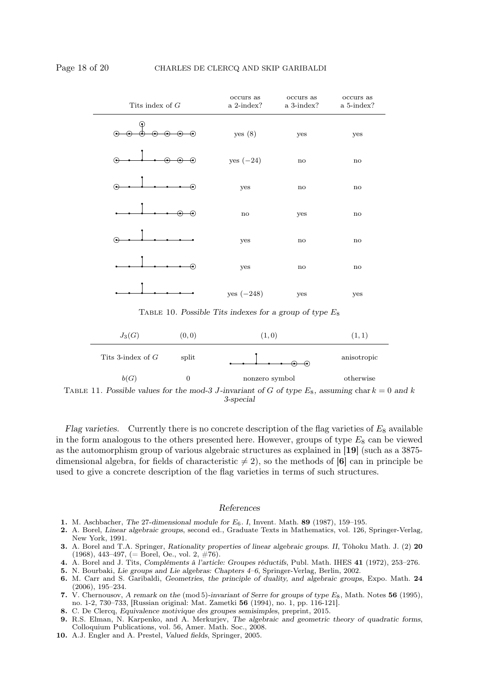

TABLE 11. Possible values for the mod-3 J-invariant of G of type  $E_8$ , assuming char  $k = 0$  and k 3-special

Flag varieties. Currently there is no concrete description of the flag varieties of  $E_8$  available in the form analogous to the others presented here. However, groups of type  $E_8$  can be viewed as the automorphism group of various algebraic structures as explained in [19] (such as a 3875 dimensional algebra, for fields of characteristic  $\neq$  2), so the methods of [6] can in principle be used to give a concrete description of the flag varieties in terms of such structures.

#### References

- 1. M. Aschbacher, The 27-dimensional module for  $E_6$ . I, Invent. Math. 89 (1987), 159–195.
- 2. A. Borel, Linear algebraic groups, second ed., Graduate Texts in Mathematics, vol. 126, Springer-Verlag, New York, 1991.
- 3. A. Borel and T.A. Springer, Rationality properties of linear algebraic groups. II, Tôhoku Math. J. (2) 20  $(1968), 443-497, (= Borel, Oe., vol. 2, #76).$
- 4. A. Borel and J. Tits, Compléments à l'article: Groupes réductifs, Publ. Math. IHES 41 (1972), 253–276.
- 5. N. Bourbaki, Lie groups and Lie algebras: Chapters 4–6, Springer-Verlag, Berlin, 2002.
- 6. M. Carr and S. Garibaldi, Geometries, the principle of duality, and algebraic groups, Expo. Math. 24 (2006), 195–234.
- 7. V. Chernousov, A remark on the (mod 5)-invariant of Serre for groups of type  $E_8$ , Math. Notes 56 (1995), no. 1-2, 730–733, [Russian original: Mat. Zametki 56 (1994), no. 1, pp. 116-121].
- 8. C. De Clercq, Equivalence motivique des groupes semisimples, preprint, 2015.
- 9. R.S. Elman, N. Karpenko, and A. Merkurjev, The algebraic and geometric theory of quadratic forms, Colloquium Publications, vol. 56, Amer. Math. Soc., 2008.
- 10. A.J. Engler and A. Prestel, Valued fields, Springer, 2005.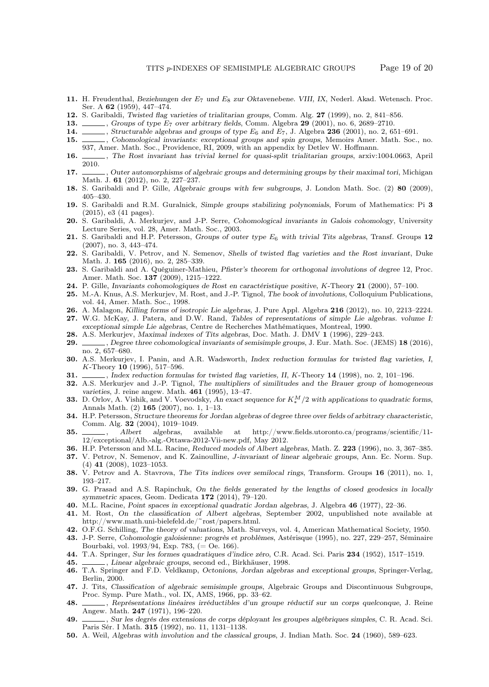- 11. H. Freudenthal, Beziehungen der E7 und E8 zur Oktavenebene. VIII, IX, Nederl. Akad. Wetensch. Proc. Ser. A 62 (1959), 447–474.
- 12. S. Garibaldi, Twisted flag varieties of trialitarian groups, Comm. Alg. 27 (1999), no. 2, 841–856.
- 13. Groups of type  $E_7$  over arbitrary fields, Comm. Algebra 29 (2001), no. 6, 2689–2710.
- 14.  $\ldots$ , Structurable algebras and groups of type  $E_6$  and  $E_7$ , J. Algebra 236 (2001), no. 2, 651–691.<br>15.  $\ldots$ , Cohomological invariants: exceptional groups and spin groups, Memoirs Amer. Math. Soc.
- <sub>1</sub>, Cohomological invariants: exceptional groups and spin groups, Memoirs Amer. Math. Soc., no. 937, Amer. Math. Soc., Providence, RI, 2009, with an appendix by Detlev W. Hoffmann.
- 16.  $\ldots$ , The Rost invariant has trivial kernel for quasi-split trialitarian groups, arxiv:1004.0663, April 2010.
- 17.  $\ldots$ , Outer automorphisms of algebraic groups and determining groups by their maximal tori, Michigan Math. J. 61 (2012), no. 2, 227–237.
- 18. S. Garibaldi and P. Gille, Algebraic groups with few subgroups, J. London Math. Soc. (2) 80 (2009), 405–430.
- 19. S. Garibaldi and R.M. Guralnick, Simple groups stabilizing polynomials, Forum of Mathematics: Pi 3 (2015), e3 (41 pages).
- 20. S. Garibaldi, A. Merkurjev, and J-P. Serre, Cohomological invariants in Galois cohomology, University Lecture Series, vol. 28, Amer. Math. Soc., 2003.
- 21. S. Garibaldi and H.P. Petersson, Groups of outer type  $E_6$  with trivial Tits algebras, Transf. Groups 12 (2007), no. 3, 443–474.
- 22. S. Garibaldi, V. Petrov, and N. Semenov, Shells of twisted flag varieties and the Rost invariant, Duke Math. J. 165 (2016), no. 2, 285–339.
- 23. S. Garibaldi and A. Quéguiner-Mathieu, *Pfister's theorem for orthogonal involutions of degree* 12, Proc. Amer. Math. Soc. 137 (2009), 1215–1222.
- 24. P. Gille, Invariants cohomologiques de Rost en caractéristique positive, K-Theory 21 (2000), 57–100.
- 25. M.-A. Knus, A.S. Merkurjev, M. Rost, and J.-P. Tignol, The book of involutions, Colloquium Publications, vol. 44, Amer. Math. Soc., 1998.
- 26. A. Malagon, Killing forms of isotropic Lie algebras, J. Pure Appl. Algebra 216 (2012), no. 10, 2213–2224. 27. W.G. McKay, J. Patera, and D.W. Rand, Tables of representations of simple Lie algebras. volume I: exceptional simple Lie algebras, Centre de Recherches Mathématiques, Montreal, 1990.
- 28. A.S. Merkurjev, Maximal indexes of Tits algebras, Doc. Math. J. DMV 1 (1996), 229–243.
- 29.  $\_\_\_\_\$ , Degree three cohomological invariants of semisimple groups, J. Eur. Math. Soc. (JEMS) 18 (2016), no. 2, 657–680.
- 30. A.S. Merkurjev, I. Panin, and A.R. Wadsworth, Index reduction formulas for twisted flag varieties, I, K-Theory 10 (1996), 517–596.
- 31.  $\ldots$ , Index reduction formulas for twisted flag varieties, II, K-Theory 14 (1998), no. 2, 101–196.
- 32. A.S. Merkurjev and J.-P. Tignol, The multipliers of similitudes and the Brauer group of homogeneous varieties, J. reine angew. Math. 461 (1995), 13–47.
- 33. D. Orlov, A. Vishik, and V. Voevodsky, An exact sequence for  $K_*^M/2$  with applications to quadratic forms, Annals Math. (2) 165 (2007), no. 1, 1–13.
- 34. H.P. Petersson, Structure theorems for Jordan algebras of degree three over fields of arbitrary characteristic, Comm. Alg. 32 (2004), 1019–1049.
- 35. Albert algebras, available at http://www.fields.utoronto.ca/programs/scientific/11-12/exceptional/Alb.-alg.-Ottawa-2012-Vii-new.pdf, May 2012.
- 36. H.P. Petersson and M.L. Racine, Reduced models of Albert algebras, Math. Z. 223 (1996), no. 3, 367–385.
- 37. V. Petrov, N. Semenov, and K. Zainoulline, J-invariant of linear algebraic groups, Ann. Ec. Norm. Sup. (4) 41 (2008), 1023–1053.
- 38. V. Petrov and A. Stavrova, The Tits indices over semilocal rings, Transform. Groups 16 (2011), no. 1, 193–217.
- 39. G. Prasad and A.S. Rapinchuk, On the fields generated by the lengths of closed geodesics in locally symmetric spaces, Geom. Dedicata 172 (2014), 79–120.
- 40. M.L. Racine, Point spaces in exceptional quadratic Jordan algebras, J. Algebra 46 (1977), 22–36.
- 41. M. Rost, On the classification of Albert algebras, September 2002, unpublished note available at http://www.math.uni-bielefeld.de/~rost/papers.html.
- 42. O.F.G. Schilling, The theory of valuations, Math. Surveys, vol. 4, American Mathematical Society, 1950.
- 43. J-P. Serre, Cohomologie galoisienne: progrès et problèmes, Astérisque (1995), no. 227, 229–257, Séminaire Bourbaki, vol. 1993/94, Exp. 783, (= Oe. 166).
- 44. T.A. Springer, Sur les formes quadratiques d'indice zéro, C.R. Acad. Sci. Paris 234 (1952), 1517–1519.
- 45. Linear algebraic groups, second ed., Birkhäuser, 1998.
- 46. T.A. Springer and F.D. Veldkamp, Octonions, Jordan algebras and exceptional groups, Springer-Verlag, Berlin, 2000.
- 47. J. Tits, Classification of algebraic semisimple groups, Algebraic Groups and Discontinuous Subgroups, Proc. Symp. Pure Math., vol. IX, AMS, 1966, pp. 33–62.
- 48. , Représentations linéaires irréductibles d'un groupe réductif sur un corps quelconque, J. Reine Angew. Math. 247 (1971), 196–220.
- 49. , Sur les degrés des extensions de corps déployant les groupes algébriques simples, C. R. Acad. Sci. Paris Sér. I Math. 315 (1992), no. 11, 1131–1138.
- 50. A. Weil, Algebras with involution and the classical groups, J. Indian Math. Soc. 24 (1960), 589–623.